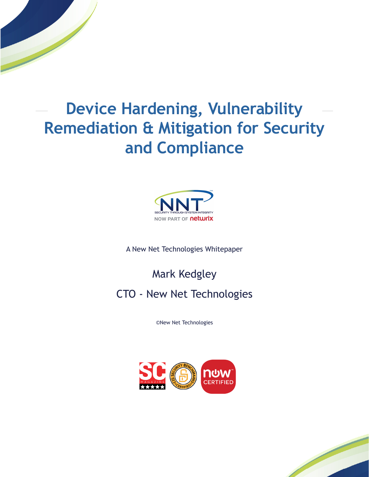# **Device Hardening, Vulnerability [Remediation & Mitigation for Security](https://www.newnettechnologies.com)  and Compliance**



A New Net Technologies Whitepaper

Mark Kedgley

# CTO - New Net Technologies

©New Net Technologies



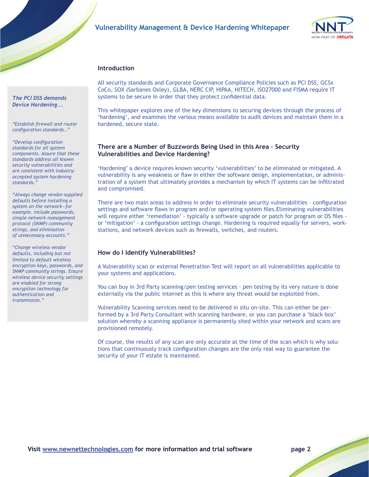# **[Vulnerability Management & Device Hardening Whitepaper](https://www.newnettechnologies.com)**



#### **Introduction**

All security standards and Corporate Governance Compliance Policies such as [PCI DSS,](https://www.newnettechnologies.com/pci-dss-compliance.html) GCSx CoCo, SOX (Sarbanes Oxley), GLBA, NERC CIP, HIPAA, HITECH, ISO27000 and FISMA require IT systems to be secure in order that they protect confidential data.

This whitepaper explores one of the key dimensions to securing devices through the process of 'hardening', and examines the various means available to audit devices and maintain them in a hardened, secure state.

#### **There are a Number of Buzzwords Being Used in this Area – Security Vulnerabilities and Device Hardening?**

'Hardening' a device requires known security 'vulnerabilities' to be eliminated or mitigated. A vulnerability is any weakness or flaw in either the software design, implementation, or administration of a system that ultimately provides a mechanism by which IT systems can be infiltrated and compromised.

There are two main areas to address in order to eliminate security vulnerabilities – configuration settings and software flaws in program and/or operating system files.Eliminating vulnerabilities will require either 'remediation' - typically a software upgrade or patch for program or OS files or 'mitigation' - a configuration settings change. Hardening is required equally for servers, workstations, and network devices such as firewalls, switches, and routers.

#### **How do I Identify Vulnerabilities?**

A Vulnerability scan or external Penetration Test will report on all vulnerabilities applicable to your systems and applications.

You can buy in 3rd Party scanning/pen testing services – pen testing by its very nature is done externally via the public internet as this is where any threat would be exploited from.

Vulnerability Scanning services need to be delivered in situ on-site. This can either be performed by a 3rd Party Consultant with scanning hardware, or you can purchase a 'black box' solution whereby a scanning appliance is permanently sited within your network and scans are provisioned remotely.

Of course, the results of any scan are only accurate at the time of the scan which is why solutions that continuously track configuration changes are the only real way to guarantee the security of your IT estate is maintained.

*The PCI DSS demands Device Hardening...*

*"Establish firewall and router configuration standards.."*

*"Develop configuration standards for all system components. Assure that these standards address all known security vulnerabilities and are consistent with industryaccepted system hardening standards."*

*"Always change vendor-supplied defaults before installing a system on the network—for example, include passwords, simple network management protocol (SNMP) community strings, and elimination of unnecessary accounts."*

*"Change wireless vendor defaults, including but not limited to default wireless encryption keys, passwords, and [SNMP community strings. Ensure](https://www.newnettechnologies.com/)  wireless device security settings are enabled for strong encryption technology for authentication and transmission."*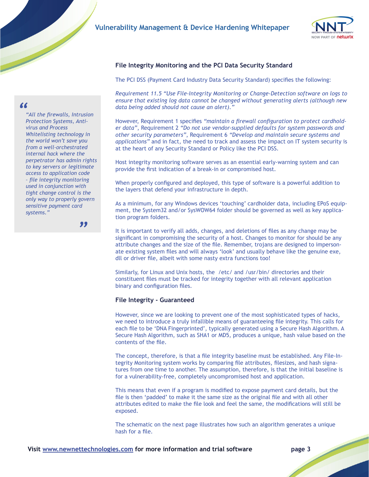

# **File Integrity Monitoring and the PCI Data Security Standard**

The PCI DSS (Payment Card Industry Data Security Standard) specifies the following:

*Requirement 11.5 "Use [File-Integrity Monitoring](https://www.newnettechnologies.com/file-integrity-monitoring.html) or [Change-Detection](https://www.newnettechnologies.com/change-and-configuration-management.html) software on logs to ensure that existing log data cannot be changed without generating alerts (although new data being added should not cause an alert)."*

However, Requirement 1 specifies *"maintain a firewall configuration to protect cardholder data"*, Requirement 2 *"Do not use vendor-supplied defaults for system passwords and other security parameters"*, Requirement 6 *"Develop and maintain secure systems and applications"* and in fact, the need to track and assess the impact on IT system security is at the heart of any Security Standard or Policy like the PCI DSS.

Host integrity monitoring software serves as an essential early-warning system and can provide the first indication of a break-in or compromised host.

When properly configured and deployed, this type of software is a powerful addition to the layers that defend your infrastructure in depth.

As a minimum, for any Windows devices 'touching' cardholder data, including EPoS equipment, the System32 and/or SysWOW64 folder should be governed as well as key application program folders.

It is important to verify all adds, changes, and deletions of files as any change may be significant in compromising the security of a host. Changes to monitor for should be any attribute changes and the size of the file. Remember, trojans are designed to impersonate existing system files and will always 'look' and usually behave like the genuine exe, dll or driver file, albeit with some nasty extra functions too!

Similarly, for Linux and Unix hosts, the /etc/ and /usr/bin/ directories and their constituent files must be tracked for integrity together with all relevant application binary and configuration files.

#### **File Integrity - Guaranteed**

However, since we are looking to prevent one of the most sophisticated types of hacks, we need to introduce a truly infallible means of guaranteeing file integrity. This calls for each file to be 'DNA Fingerprinted', typically generated using a Secure Hash Algorithm. A Secure Hash Algorithm, such as SHA1 or MD5, produces a unique, hash value based on the contents of the file.

The concept, therefore, is that a file integrity baseline must be established. Any [File-In](https://www.newnettechnologies.com/file-integrity-monitoring.html)[tegrity Monitoring](https://www.newnettechnologies.com/file-integrity-monitoring.html) system works by comparing file attributes, filesizes, and hash signatures from one time to another. The assumption, therefore, is that the initial baseline is for a vulnerability-free, completely uncompromised host and application.

This means that even if a program is modified to expose payment card details, but the file is then 'padded' to make it the same size as the original file and with all other attributes edited to make the file look and feel the same, the modifications will still be exposed.

The schematic on the next page illustrates how such an algorithm generates a unique hash for a file.

# *"All the firewalls, Intrusion*

*"*

 *sensitive payment card Protection Systems, Antivirus and Process Whitelisting technology in the world won't save you from a well-orchestrated internal hack where the perpetrator has admin rights to key servers or legitimate access to application code – file integrity monitoring used in conjunction with tight change control is the only way to properly govern systems."*

 *["](https://www.newnettechnologies.com/)*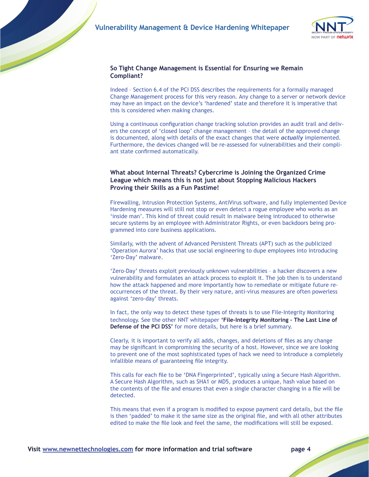

### **So Tight Change Management is Essential for Ensuring we Remain Compliant?**

Indeed – Section 6.4 of the PCI DSS describes the requirements for a formally managed Change Management process for this very reason. Any change to a server or network device may have an impact on the device's 'hardened' state and therefore it is imperative that this is considered when making changes.

Using a continuous configuration change tracking solution provides an audit trail and delivers the concept of 'closed loop' change management – the detail of the approved change is documented, along with details of the exact changes that were *actually* implemented. Furthermore, the devices changed will be re-assessed for vulnerabilities and their compliant state confirmed automatically.

## **What about Internal Threats? Cybercrime is Joining the Organized Crime League which means this is not just about Stopping Malicious Hackers Proving their Skills as a Fun Pastime!**

Firewalling, Intrusion Protection Systems, AntiVirus software, and fully implemented Device Hardening measures will still not stop or even detect a rogue employee who works as an 'inside man'. This kind of threat could result in malware being introduced to otherwise secure systems by an employee with Administrator Rights, or even backdoors being programmed into core business applications.

Similarly, with the advent of Advanced Persistent Threats (APT) such as the publicized 'Operation Aurora' hacks that use social engineering to dupe employees into introducing 'Zero-Day' malware.

'Zero-Day' threats exploit previously unknown vulnerabilities – a hacker discovers a new vulnerability and formulates an attack process to exploit it. The job then is to understand how the attack happened and more importantly how to remediate or mitigate future reoccurrences of the threat. By their very nature, anti-virus measures are often powerless against 'zero-day' threats.

In fact, the only way to detect these types of threats is to use File-Integrity Monitoring technology. See the other NNT whitepaper **'File-Integrity Monitoring – The Last Line of Defense of the PCI DSS'** for more details, but here is a brief summary.

Clearly, it is important to verify all adds, changes, and deletions of files as any change may be significant in compromising the security of a host. However, since we are looking to prevent one of the most sophisticated types of hack we need to introduce a completely infallible means of guaranteeing file integrity.

This calls for each file to be 'DNA Fingerprinted', typically using a Secure Hash Algorithm. A Secure Hash Algorithm, such as SHA1 or MD5, produces a unique, hash value based on the contents of the file and ensures that even a single character changing in a file will be detected.

This means that even if a program is modified to expose payment card details, but the file is then 'padded' to make it the same size as the original file, and with all other attributes edited to make the file look and feel the same, the modifications will still be exposed.